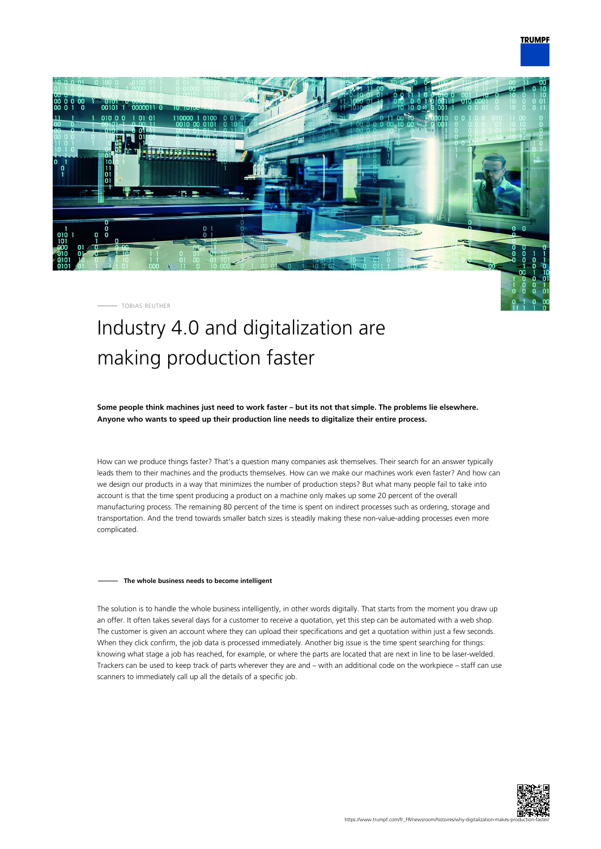## **TRUMPF**



TOBIAS REUTHER

# Industry 4.0 and digitalization are making production faster

**Some people think machines just need to work faster – but its not that simple. The problems lie elsewhere. Anyone who wants to speed up their production line needs to digitalize their entire process.**

How can we produce things faster? That's a question many companies ask themselves. Their search for an answer typically leads them to their machines and the products themselves. How can we make our machines work even faster? And how can we design our products in a way that minimizes the number of production steps? But what many people fail to take into account is that the time spent producing a product on a machine only makes up some 20 percent of the overall manufacturing process. The remaining 80 percent of the time is spent on indirect processes such as ordering, storage and transportation. And the trend towards smaller batch sizes is steadily making these non-value-adding processes even more complicated.

#### **The whole business needs to become intelligent**

The solution is to handle the whole business intelligently, in other words digitally. That starts from the moment you draw up an offer. It often takes several days for a customer to receive a quotation, yet this step can be automated with a web shop. The customer is given an account where they can upload their specifications and get a quotation within just a few seconds. When they click confirm, the job data is processed immediately. Another big issue is the time spent searching for things: knowing what stage a job has reached, for example, or where the parts are located that are next in line to be laser-welded. Trackers can be used to keep track of parts wherever they are and – with an additional code on the workpiece – staff can use scanners to immediately call up all the details of a specific job.